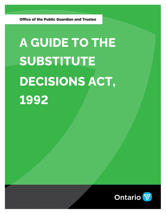**Office of the Public Guardian and Trustee** 

# **A GUIDE TO THE SUBSTITUTE DECISIONS ACT, 1992**

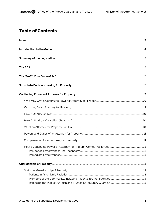# **Table of Contents**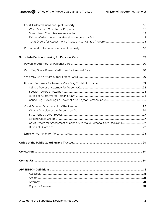| .30 |
|-----|
|     |
|     |
|     |
|     |
|     |
|     |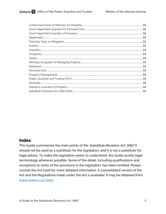# <span id="page-3-0"></span>**Index**

This Guide summarizes the main points of the Substitute Decisions Act, 1992. It should not be used as a substitute for the legislation, and it is not a substitute for legal advice. To make the legislation easier to understand, the Guide avoids legal terminology wherever possible. Some of the detail, including qualifications and exceptions to some of the provisions in the legislation, has been omitted. Please consult the Act itself for more detailed information. A consolidated version of the Act and the Regulations made under the Act is available. It may be obtained from www.ontario.ca/laws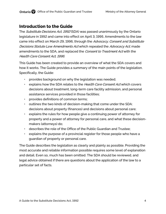# <span id="page-4-0"></span>**Introduction to the Guide**

The *Substitute Decisions Act, 1992* (SDA) was passed unanimously by the Ontario legislature in 1992 and came into effect on April 3, 1995. Amendments to the law came into effect on March 29, 1996, through the Advocacy, Consent and Substitute Decisions Statute Law Amendments Act which repealed the Advocacy Act, made amendments to the SDA, and replaced the Consent to Treatment Act with the Health Care Consent Act, 1996.

This Guide has been created to provide an overview of what the SDA covers and how it works. The Guide provides a summary of the main points of the legislation. Specifically, the Guide:

- provides background on why the legislation was needed;
- explains how the SDA relates to the Health Care Consent Act which covers decisions about treatment, long-term care facility admission, and personal assistance services provided in those facilities;
- provides definitions of common terms;
- outlines the two kinds of decision-making that come under the SDA: decisions about property (finances) and decisions about personal care;
- explains the rules for how people give a continuing power of attorney for property and a power of attorney for personal care, and what these decisionmakers (attorneys) do;
- describes the role of the Office of the Public Guardian and Trustee;
- explains the purpose of a provincial register for those people who have a guardian of property or personal care.

The Guide describes the legislation as clearly and plainly as possible. Providing the most accurate and reliable information possible requires some level of explanation and detail. Even so, much has been omitted. The SDA should be reviewed, and legal advice obtained if there are questions about the application of the law to a particular set of facts.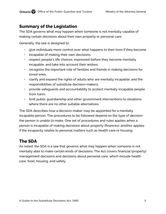# <span id="page-5-0"></span>**Summary of the Legislation**

The SDA governs what may happen when someone is not mentally capable of making certain decisions about their own property or personal care.

Generally, the law is designed to:

- give individuals more control over what happens to their lives if they become
- incapable of making their own decisions;
- respect people's life choices, expressed before they become mentally incapable, and take into account their wishes;
- recognize the important role of families and friends in making decisions for loved ones;
- clarify and expand the rights of adults who are mentally incapable, and the responsibilities of substitute decision-makers;
- provide safeguards and accountability to protect mentally incapable people from harm;
- limit public guardianship and other government interventions to situations where there are no other suitable alternatives.

The SDA describes how a decision-maker may be appointed for a mentally incapable person. The procedures to be followed depend on the type of decision the person is unable to make. One set of procedures and rules applies when a person is incapable of making decisions about property (finances); another applies if the incapacity relates to personal matters such as health care or housing.

# <span id="page-5-1"></span>**The SDA**

As noted, the SDA is a law that governs what may happen when someone is not mentally able to make certain kinds of decisions. The Act covers financial (property) management decisions and decisions about personal care, which include health care, food, housing, and safety.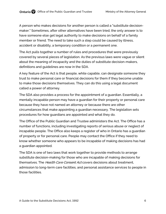A person who makes decisions for another person is called a "substitute decisionmaker." Sometimes, after other alternatives have been tried, the only answer is to have someone else get legal authority to make decisions on behalf of a family member or friend. The need to take such a step could be caused by illness, accident or disability, a temporary condition or a permanent one.

The Act pulls together a number of rules and procedures that were previously covered by several pieces of legislation. As the previous laws were vague or silent about the meaning of incapacity and the duties of substitute decision-makers, definitions and guidelines are now in the SDA.

A key feature of the Act is that people, while capable, can designate someone they trust to make personal care or financial decisions for them if they become unable to make those decisions themselves. They can do this using a legal document called a power of attorney.

The SDA also provides a process for the appointment of a guardian. Essentially, a mentally incapable person may have a guardian for their property or personal care because they have not named an attorney or because there are other circumstances that make appointing a guardian necessary. The legislation sets procedures for how guardians are appointed and what they do.

The Office of the Public Guardian and Trustee administers the Act. The Office has a number of functions, including investigating reports of serious abuse or neglect of incapable people. The Office also keeps a register of who in Ontario has a guardian of property or for personal care. People may contact the Office if they need to know whether someone who appears to be incapable of making decisions has had a guardian appointed.

The SDA is one of two laws that work together to provide methods to arrange substitute decision-making for those who are incapable of making decisions for themselves. The *Health Care Consent Act* covers decisions about treatment, admission to long-term care facilities, and personal assistance services to people in those facilities.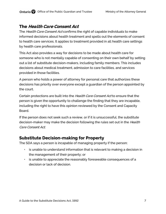# <span id="page-7-0"></span>**The Health Care Consent Act**

The Health Care Consent Act confirms the right of capable individuals to make informed decisions about health treatment and spells out the elements of consent to health care services. It applies to treatment provided in all health care settings by health care professionals.

This Act also provides a way for decisions to be made about health care for someone who is not mentally capable of consenting on their own behalf by setting out a list of substitute decision-makers, including family members. This includes decisions about medical treatment, admission to care facilities, and services provided in those facilities.

A person who holds a power of attorney for personal care that authorizes these decisions has priority over everyone except a guardian of the person appointed by the court.

Certain protections are built into the Health Care Consent Act to ensure that the person is given the opportunity to challenge the finding that they are incapable, including the right to have this opinion reviewed by the Consent and Capacity Board.

If the person does not seek such a review, or if it is unsuccessful, the substitute decision-maker may make the decision following the rules set out in the Health Care Consent Act.

# <span id="page-7-1"></span>**Substitute Decision-making for Property**

The SDA says a person is incapable of managing property if the person:

- is unable to understand information that is relevant to making a decision in the management of their property; or
- is unable to appreciate the reasonably foreseeable consequences of a decision or lack of decision.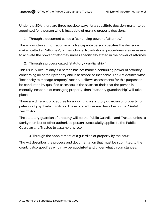Under the SDA, there are three possible ways for a substitute decision-maker to be appointed for a person who is incapable of making property decisions:

1. Through a document called a "continuing power of attorney."

This is a written authorization in which a capable person specifies the decisionmaker, called an "attorney", of their choice. No additional procedures are necessary to activate the power of attorney unless specifically stated in the power of attorney.

2. Through a process called "statutory guardianship."

This usually occurs only if a person has not made a continuing power of attorney concerning all of their property and is assessed as incapable. The Act defines what "incapacity to manage property" means. It allows assessments for this purpose to be conducted by qualified assessors. If the assessor finds that the person is mentally incapable of managing property, then "statutory guardianship" will take place.

There are different procedures for appointing a statutory guardian of property for patients of psychiatric facilities. These procedures are described in the Mental Health Act.

The statutory guardian of property will be the Public Guardian and Trustee unless a family member or other authorized person successfully applies to the Public Guardian and Trustee to assume this role.

3. Through the appointment of a guardian of property by the court.

The Act describes the process and documentation that must be submitted to the court. It also specifies who may be appointed and under what circumstances.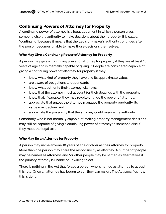# <span id="page-9-0"></span>**Continuing Powers of Attorney for Property**

A continuing power of attorney is a legal document in which a person gives someone else the authority to make decisions about their property. It is called "continuing" because it means that the decision-maker's authority continues after the person becomes unable to make those decisions themselves.

# <span id="page-9-1"></span>**Who May Give a Continuing Power of Attorney for Property**

A person may give a continuing power of attorney for property if they are at least 18 years of age and is mentally capable of giving it. People are considered capable of giving a continuing power of attorney for property if they:

- know what kind of property they have and its approximate value;
- are aware of obligations to dependants;
- know what authority their attorney will have;
- know that the attorney must account for their dealings with the property;
- know that, if capable, they may revoke or undo the power of attorney;
- appreciate that unless the attorney manages the property prudently, its value may decline; and
- appreciate the possibility that the attorney could misuse the authority.

Somebody who is not mentally capable of making property management decisions may still be capable of giving a continuing power of attorney to someone else if they meet the legal test.

# <span id="page-9-2"></span>**Who May Be an Attorney for Property**

A person may name anyone 18 years of age or older as their attorney for property. More than one person may share the responsibility as attorney. A number of people may be named as attorneys and/or other people may be named as alternatives if the primary attorney is unable or unwilling to act.

There is nothing in the Act that forces a person who is named as attorney to accept this role. Once an attorney has begun to act, they can resign. The Act specifies how this is done.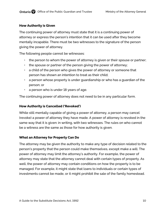## <span id="page-10-0"></span>**How Authority is Given**

The continuing power of attorney must state that it is a continuing power of attorney or express the person's intention that it can be used after they become mentally incapable. There must be two witnesses to the signature of the person giving the power of attorney.

The following people cannot be witnesses:

- the person to whom the power of attorney is given or their spouse or partner;
- the spouse or partner of the person giving the power of attorney;
- a child of the person who gives the power of attorney or someone that person has shown an intention to treat as their child;
- a person whose property is under guardianship or who has a guardian of the person; or
- a person who is under 18 years of age.

The continuing power of attorney does not need to be in any particular form.

## <span id="page-10-1"></span>**How Authority is Cancelled ('Revoked')**

While still mentally capable of giving a power of attorney, a person may cancel (revoke) a power of attorney they have made. A power of attorney is revoked in the same way that it is given: in writing, with two witnesses. The rules on who cannot be a witness are the same as those for how authority is given.

# <span id="page-10-2"></span>**What an Attorney for Property Can Do**

The attorney may be given the authority to make any type of decision related to the person's property that the person could make themselves, except make a will. The power of attorney may limit the attorney's authority. For example, the power of attorney may state that the attorney cannot deal with certain types of property. As well, the power of attorney may contain conditions on how the property is to be managed. For example, it might state that loans to individuals or certain types of investments cannot be made, or it might prohibit the sale of the family homestead.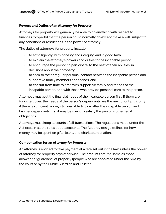## <span id="page-11-0"></span>**Powers and Duties of an Attorney for Property**

Attorneys for property will generally be able to do anything with respect to finances (property) that the person could normally do except make a will, subject to any conditions or restrictions in the power of attorney.

The duties of attorneys for property include:

- $\cdot$  to act diligently, with honesty and integrity, and in good faith;
- $\cdot$  to explain the attorney's powers and duties to the incapable person;
- to encourage the person to participate, to the best of their abilities, in
- decisions about their property;
- to seek to foster regular personal contact between the incapable person and supportive family members and friends; and
- $\cdot$  to consult from time to time with supportive family and friends of the incapable person, and with those who provide personal care to the person.

Attorneys must put the financial needs of the incapable person first. If there are funds left over, the needs of the person's dependants are the next priority. It is only if there is sufficient money still available to look after the incapable person and his/her dependants that it may be spent to satisfy the person's other legal obligations.

Attorneys must keep accounts of all transactions. The regulations made under the Act explain all the rules about accounts. The Act provides guidelines for how money may be spent on gifts, loans, and charitable donations.

## <span id="page-11-1"></span>**Compensation for an Attorney for Property**

An attorney is entitled to take payment at a rate set out in the law, unless the power of attorney for property says otherwise. The amounts are the same as those allowed to "guardians" of property (people who are appointed under the SDA by the court or by the Public Guardian and Trustee).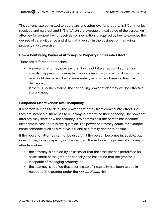The current rate permitted to guardians and attorneys for property is 3% on monies received and paid out and 3/5 of 1% on the average annual value of the assets. An attorney for property who receives compensation is required by law to exercise the degree of care, diligence and skill that a person in the business of managing property must exercise.

#### <span id="page-12-0"></span>**How a Continuing Power of Attorney for Property Comes into Effect**

There are different approaches:

- A power of attorney may say that it will not take effect until something specific happens (for example, the document may state that it cannot be used until the person becomes mentally incapable of making financial decisions);
- If there is no such clause, the continuing power of attorney will be effective immediately.

#### <span id="page-12-1"></span>**Postponed Effectiveness until Incapacity**

If a person decides to delay the power of attorney from coming into effect until they are incapable, there has to be a way to determine their capacity. The power of attorney may state how the attorney is to determine if the person has become incapable in case there is any question. The power of attorney could, for example, name someone such as a relative, a friend or a family doctor to decide.

If the power of attorney cannot be used until the person becomes incapable, but does not say how incapacity will be decided, the Act says the power of attorney is effective when:

- the attorney is notified by an assessor that the assessor has performed an assessment of the grantor's capacity and has found that the grantor is incapable of managing property; or
- the attorney is notified that a certificate of incapacity has been issued in respect of the grantor under the Mental Health Act.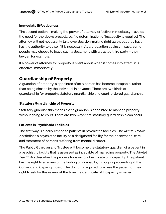## <span id="page-13-0"></span>**Immediate Effectiveness**

The second option – making the power of attorney effective immediately – avoids the need for the above procedures. No determination of incapacity is required. The attorney will not necessarily take over decision-making right away, but they have has the authority to do so if it is necessary. As a precaution against misuse, some people may choose to leave such a document with a trusted third party – their lawyer, for example.

If a power of attorney for property is silent about when it comes into effect, it is effective immediately.

# <span id="page-13-1"></span>**Guardianship of Property**

A guardian of property is appointed after a person has become incapable, rather than being chosen by the individual in advance. There are two kinds of guardianship for property: statutory guardianship and court-ordered guardianship.

# <span id="page-13-2"></span>**Statutory Guardianship of Property**

Statutory guardianship means that a guardian is appointed to manage property without going to court. There are two ways that statutory guardianship can occur.

# <span id="page-13-3"></span>**Patients in Psychiatric Facilities**

The first way is clearly limited to patients in psychiatric facilities. The Mental Health Act defines a psychiatric facility as a designated facility for the observation, care and treatment of persons suffering from mental disorder.

The Public Guardian and Trustee will become the statutory guardian of a patient in a psychiatric facility that is assessed as incapable of managing property. The Mental Health Act describes the process for issuing a Certificate of Incapacity. The patient has the right to a review of the finding of incapacity, through a proceeding at the Consent and Capacity Board. The doctor is required to advise the patient of their right to ask for this review at the time the Certificate of Incapacity is issued.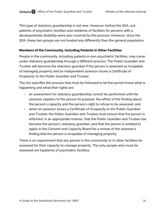This type of statutory guardianship is not new. However, before the SDA, outpatients of psychiatric facilities and residents of facilities for persons with a developmental disability were also covered by this process. However, since the SDA, these two groups are not treated any differently than the general population.

## <span id="page-14-0"></span>**Members of the Community, Including Patients in Other Facilities**

People in the community, including patients in non-psychiatric facilities, may come under statutory guardianship through a different process. The Public Guardian and Trustee will become the statutory guardian if the person is assessed as incapable of managing property and an independent assessor issues a Certificate of Incapacity to the Public Guardian and Trustee.

The Act specifies the process that must be followed to let the person know what is happening and what their rights are:

- an assessment for statutory guardianship cannot be performed until the assessor explains to the person its purpose, the effect of the finding about the person's capacity and the person's right to refuse to be assessed; and
- when an assessor issues a Certificate of Incapacity to the Public Guardian and Trustee, the Public Guardian and Trustee must ensure that the person is informed, in an appropriate manner, that the Public Guardian and Trustee has become the person's statutory guardian, and that the person is entitled to apply to the Consent and Capacity Board for a review of the assessor's finding that the person is incapable of managing property.

There is no requirement that any person in the community or in other facilities be assessed for their capacity to manage property. The only people who must be assessed are inpatients of psychiatric facilities.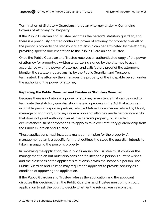## Termination of Statutory Guardianship by an Attorney under A Continuing Powers of Attorney for Property

If the Public Guardian and Trustee becomes the person's statutory guardian, and there is a previously granted continuing power of attorney for property over all of the person's property, the statutory guardianship can be terminated by the attorney providing specific documentation to the Public Guardian and Trustee.

Once the Public Guardian and Trustee receives an authenticated copy of the power of attorney for property, a written undertaking signed by the attorney to act in accordance with the power of attorney, and satisfactory proof of the attorney's identity, the statutory guardianship by the Public Guardian and Trustee is terminated. The attorney then manages the property of the incapable person under the authority of the power of attorney.

## <span id="page-15-0"></span>**Replacing the Public Guardian and Trustee as Statutory Guardian**

Because there is not always a power of attorney in existence that can be used to terminate the statutory guardianship, there is a process in the Act that allows an incapable person's spouse, partner, relative (defined as someone related by blood, marriage or adoption), attorney under a power of attorney made before incapacity that does not grant authority over all the person's property, or, in certain circumstances, trust corporations, to apply to take over statutory guardianship from the Public Guardian and Trustee.

These applications must include a management plan for the property. A management plan is a specific form that outlines the steps the guardian intends to take in managing the person's property.

In reviewing the application, the Public Guardian and Trustee must consider the management plan but must also consider the incapable person's current wishes and the closeness of the applicant's relationship with the incapable person. The Public Guardian and Trustee may require the applicant to provide security as a condition of approving the application.

If the Public Guardian and Trustee refuses the application and the applicant disputes this decision, then the Public Guardian and Trustee must bring a court application to ask the court to decide whether the refusal was reasonable.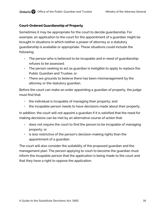## <span id="page-16-0"></span>**Court-Ordered Guardianship of Property**

Sometimes it may be appropriate for the court to decide guardianship. For example, an application to the court for the appointment of a guardian might be brought in situations in which neither a power of attorney or a statutory guardianship is available or appropriate. These situations could include the following:

- The person who is believed to be incapable and in need of guardianship refuses to be assessed;
- The person seeking to act as guardian is ineligible to apply to replace the Public Guardian and Trustee; or
- There are grounds to believe there has been mismanagement by the attorney or the statutory guardian.

Before the court can make an order appointing a guardian of property, the judge must find that:

- the individual is incapable of managing their property; and
- the incapable person needs to have decisions made about their property.

In addition, the court will not appoint a guardian if it is satisfied that the need for making decisions can be met by an alternative course of action that:

- does not require the court to find the person to be incapable of managing property; or
- is less restrictive of the person's decision-making rights than the appointment of a guardian.

The court will also consider the suitability of the proposed guardian and the management plan. The person applying to court to become the guardian must inform the incapable person that the application is being made to the court and that they have a right to oppose the application.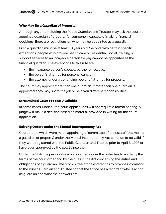## <span id="page-17-0"></span>**Who May Be a Guardian of Property**

Although anyone, including the Public Guardian and Trustee, may ask the court to appoint a guardian of property for someone incapable of making financial decisions, there are restrictions on who may be appointed as a guardian.

First, a guardian must be at least 18 years old. Second, with certain specific exceptions, people who provide health care or residential, social, training or support services to an incapable person for pay cannot be appointed as the financial guardian. The exceptions to this rule are:

- the incapable person's spouse, partner or relative;
- the person's attorney for personal care; or
- the attorney under a continuing power of attorney for property.

The court may appoint more than one guardian. If more than one guardian is appointed, they may share the job or be given different responsibilities.

## <span id="page-17-1"></span>**Streamlined Court Process Available**

In some cases, undisputed court applications will not require a formal hearing. A judge will make a decision based on material provided in writing for the court application.

# <span id="page-17-2"></span>**Existing Orders under the Mental Incompetency Act**

Court orders which were made appointing a "committee of the estate" (this means a guardian of property) under the Mental Incompetency Act continue to be valid if they were registered with the Public Guardian and Trustee prior to April 3, 1997 or have been approved by the court since then.

Under the SDA, the person already appointed under the order has to abide by the terms of the court order and by the rules in the Act concerning the duties and obligations of a guardian. The "committee of the estate" has to provide information to the Public Guardian and Trustee so that the Office has a record of who is acting as guardian and what their powers are.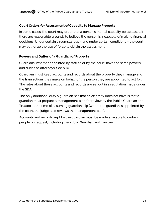#### <span id="page-18-0"></span>**Court Orders for Assessment of Capacity to Manage Property**

In some cases, the court may order that a person's mental capacity be assessed if there are reasonable grounds to believe the person is incapable of making financial decisions. Under certain circumstances – and under certain conditions – the court may authorize the use of force to obtain the assessment.

#### <span id="page-18-1"></span>**Powers and Duties of a Guardian of Property**

Guardians, whether appointed by statute or by the court, have the same powers and duties as attorneys. See p.10.

Guardians must keep accounts and records about the property they manage and the transactions they make on behalf of the person they are appointed to act for. The rules about these accounts and records are set out in a regulation made under the SDA.

The only additional duty a guardian has that an attorney does not have is that a guardian must prepare a management plan for review by the Public Guardian and Trustee at the time of assuming guardianship (where the guardian is appointed by the court, the judge also reviews the management plan).

Accounts and records kept by the guardian must be made available to certain people on request, including the Public Guardian and Trustee.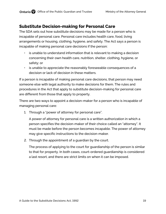# <span id="page-19-0"></span>**Substitute Decision-making for Personal Care**

The SDA sets out how substitute decisions may be made for a person who is incapable of personal care. Personal care includes health care, food, living arrangements or housing, clothing, hygiene, and safety. The Act says a person is incapable of making personal care decisions if the person:

- is unable to understand information that is relevant to making a decision concerning their own health care, nutrition, shelter, clothing, hygiene, or safety; or
- is unable to appreciate the reasonably foreseeable consequences of a decision or lack of decision in these matters.

If a person is incapable of making personal care decisions, that person may need someone else with legal authority to make decisions for them. The rules and procedures in the Act that apply to substitute decision-making for personal care are different from those that apply to property.

There are two ways to appoint a decision-maker for a person who is incapable of managing personal care:

1. Through a "power of attorney for personal care".

A power of attorney for personal care is a written authorization in which a person specifies the decision-maker of their choice called an "attorney". It must be made before the person becomes incapable. The power of attorney may give specific instructions to the decision-maker.

2. Through the appointment of a guardian by the court.

The process of applying to the court for guardianship of the person is similar to that for property. In both cases, court-ordered guardianship is considered a last resort, and there are strict limits on when it can be imposed.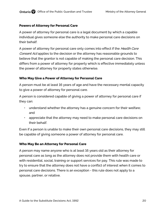#### <span id="page-20-0"></span>**Powers of Attorney for Personal Care**

A power of attorney for personal care is a legal document by which a capable individual gives someone else the authority to make personal care decisions on their behalf.

A power of attorney for personal care only comes into effect if the *Health Care* Consent Act applies to the decision or the attorney has reasonable grounds to believe that the grantor is not capable of making the personal care decision. This differs from a power of attorney for property which is effective immediately unless the power of attorney for property states otherwise.

#### <span id="page-20-1"></span>**Who May Give a Power of Attorney for Personal Care**

A person must be at least 16 years of age and have the necessary mental capacity to give a power of attorney for personal care.

A person is considered capable of giving a power of attorney for personal care if they can:

- understand whether the attorney has a genuine concern for their welfare; and
- appreciate that the attorney may need to make personal care decisions on their behalf.

Even if a person is unable to make their own personal care decisions, they may still be capable of giving someone a power of attorney for personal care.

#### <span id="page-20-2"></span>**Who May Be an Attorney for Personal Care**

A person may name anyone who is at least 16 years old as their attorney for personal care as long as the attorney does not provide them with health care or with residential, social, training or support services for pay. This rule was made to try to ensure that the attorney does not have a conflict of interest when it comes to personal care decisions. There is an exception - this rule does not apply to a spouse, partner, or relative.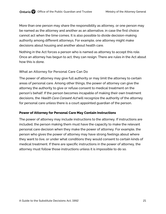More than one person may share the responsibility as attorney, or one person may be named as the attorney and another as an alternative, in case the first choice cannot act when the time comes. It is also possible to divide decision-making authority among different attorneys. For example, one attorney might make decisions about housing and another about health care.

Nothing in the Act forces a person who is named as attorney to accept this role. Once an attorney has begun to act, they can resign. There are rules in the Act about how this is done.

#### What an Attorney for Personal Care Can Do

The power of attorney may give full authority or may limit the attorney to certain areas of personal care. Among other things, the power of attorney can give the attorney the authority to give or refuse consent to medical treatment on the person's behalf. If the person becomes incapable of making their own treatment decisions, the *Health Care Consent Act* will recognize the authority of the attorney for personal care unless there is a court appointed guardian of the person.

#### <span id="page-21-0"></span>**Power of Attorney for Personal Care May Contain Instructions**

The power of attorney may include instructions to the attorney. If instructions are included, the person making them must have the capacity to make the relevant personal care decision when they make the power of attorney. For example, the person who gives the power of attorney may have strong feelings about where they want to live, or under what conditions they would consent to certain kinds of medical treatment. If there are specific instructions in the power of attorney, the attorney must follow those instructions unless it is impossible to do so.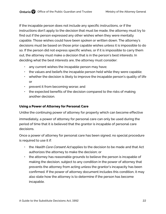If the incapable person does not include any specific instructions, or if the instructions don't apply to the decision that must be made, the attorney must try to find out if the person expressed any other wishes when they were mentally capable. Those wishes could have been spoken or written down. The attorney's decisions must be based on those prior capable wishes unless it is impossible to do so. If the person did not express specific wishes, or if it is impossible to carry them out, the attorney must make a decision that is in the person's best interests. In deciding what the best interests are, the attorney must consider:

- any current wishes the incapable person may have;
- the values and beliefs the incapable person held while they were capable;
- $\cdot$  whether the decision is likely to improve the incapable person's quality of life or
- prevent it from becoming worse; and
- $\cdot$  the expected benefits of the decision compared to the risks of making another decision.

## <span id="page-22-0"></span>**Using a Power of Attorney for Personal Care**

Unlike the continuing power of attorney for property which can become effective

immediately, a power of attorney for personal care can only be used during the period of time that it is believed that the grantor is incapable of personal care decisions.

Once a power of attorney for personal care has been signed, no special procedure is required to use it if:

- the Health Care Consent Act applies to the decision to be made and that Act authorizes the attorney to make the decision; or
- the attorney has reasonable grounds to believe the person is incapable of making the decision, subject to any condition in the power of attorney that prevents the attorney from acting unless the grantor's incapacity has been confirmed. If the power of attorney document includes this condition, it may also state how the attorney is to determine if the person has become incapable.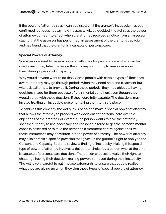If the power of attorney says it can't be used until the grantor's incapacity has been confirmed, but does not say how incapacity will be decided, the Act says the power of attorney comes into effect when the attorney receives a notice from an assessor stating that the assessor has performed an assessment of the grantor's capacity and has found that the grantor is incapable of personal care.

## <span id="page-23-0"></span>**Special Powers of Attorney**

Some people want to make a power of attorney for personal care which can be used even if they later challenge the attorney's authority to make decisions for them during a period of incapacity.

Why would anyone want to do that? Some people with certain types of illness are aware that they may go through periods when they need help and treatment but will resist attempts to provide it. During those periods, they may object to having decisions made for them because of their mental condition, even though they would agree with those decisions if they were fully capable. The decisions may involve treating an incapable person or taking them to a safe place.

To address this concern, the Act allows people to make a special power of attorney that allows the attorney to proceed with decisions for personal care over the objections of the grantor. For example, if a person wants to give their attorney specific authority to use necessary and reasonable force to get the person's mental capacity assessed or to take the person to a treatment centre against their will, those instructions may be written into the power of attorney. The power of attorney may also contain a specific provision that gives up the grantor's right to apply to the Consent and Capacity Board to review a finding of incapacity. Making this special type of power of attorney involves a deliberate choice by a person who, at the time, is capable of personal care decisions. The person chooses to waive their right to challenge having their decision-making powers removed during their incapacity. The Act is very careful to put in place safeguards to ensure that people realize what they are giving up when they sign these types of special powers of attorney.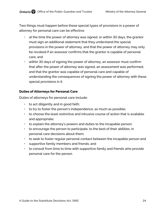Two things must happen before these special types of provisions in a power of attorney for personal care can be effective:

- at the time the power of attorney was signed, or within 30 days, the grantor must sign an additional statement that they understand the special provisions in the power of attorney, and that the power of attorney may only be revoked if an assessor confirms that the grantor is capable of personal care; and
- within 30 days of signing the power of attorney, an assessor must confirm that after the power of attorney was signed, an assessment was performed, and that the grantor was capable of personal care and capable of understanding the consequences of signing the power of attorney with these special provisions in it.

#### <span id="page-24-0"></span>**Duties of Attorneys for Personal Care**

Duties of attorneys for personal care include:

- $\cdot$  to act diligently and in good faith;
- to try to foster the person's independence, as much as possible;
- to choose the least restrictive and intrusive course of action that is available and appropriate;
- to explain the attorney's powers and duties to the incapable person;
- to encourage the person to participate, to the best of their abilities, in personal care decisions about them;
- to seek to foster regular personal contact between the incapable person and
- supportive family members and friends; and
- to consult from time to time with supportive family and friends who provide personal care for the person.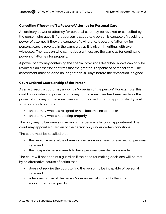## <span id="page-25-0"></span>**Cancelling ("Revoking") a Power of Attorney for Personal Care**

An ordinary power of attorney for personal care may be revoked or cancelled by the person who gave it if that person is capable. A person is capable of revoking a power of attorney if they are capable of giving one. A power of attorney for personal care is revoked in the same way as it is given: in writing, with two witnesses. The rules on who cannot be a witness are the same as for continuing powers of attorney for property.

A power of attorney containing the special provisions described above can only be revoked if an assessor confirms that the grantor is capable of personal care. The assessment must be done no longer than 30 days before the revocation is signed.

#### <span id="page-25-1"></span>**Court Ordered Guardianship of the Person**

As a last resort, a court may appoint a "guardian of the person". For example, this could occur when no power of attorney for personal care has been made, or the power of attorney for personal care cannot be used or is not appropriate. Typical situations could include:

- an attorney who has resigned or has become incapable; or
- an attorney who is not acting properly

The only way to become a guardian of the person is by court appointment. The court may appoint a guardian of the person only under certain conditions.

The court must be satisfied that:

- the person is incapable of making decisions in at least one aspect of personal care; and
- the incapable person needs to have personal care decisions made.

The court will not appoint a guardian if the need for making decisions will be met by an alternative course of action that:

- does not require the court to find the person to be incapable of personal care; and
- is less restrictive of the person's decision-making rights than the appointment of a guardian.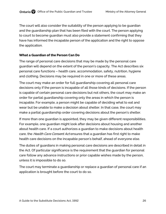The court will also consider the suitability of the person applying to be guardian and the guardianship plan that has been filed with the court. The person applying to court to become guardian must also provide a statement confirming that they have has informed the incapable person of the application and the right to oppose the application.

## <span id="page-26-0"></span>**What a Guardian of the Person Can Do**

The range of personal care decisions that may be made by the personal care guardian will depend on the extent of the person's capacity. The Act describes six personal care functions – health care, accommodation, safety, nutrition, hygiene and clothing. Decisions may be required in one or more of these areas.

The court may make an order for full guardianship covering all personal care decisions only if the person is incapable of all those kinds of decisions. If the person is capable of certain personal care decisions but not others, the court may make an order for partial guardianship covering only the areas in which the person is incapable. For example, a person might be capable of deciding what to eat and wear but be unable to make a decision about shelter. In that case, the court may make a partial guardianship order covering decisions about the person's shelter.

If more than one guardian is appointed, they may be given different responsibilities. For example, one guardian might look after decisions about housing and another about health care. If a court authorizes a guardian to make decisions about health care, the Health Care Consent Act ensures that a quardian has first right to make health care decisions on the incapable person's behalf, ahead of everyone else.

The duties of guardians in making personal care decisions are described in detail in the Act. Of particular significance is the requirement that the guardian for personal care follow any advance instructions or prior capable wishes made by the person, unless it is impossible to do so.

The court may terminate a guardianship or replace a guardian of personal care if an application is brought before the court to do so.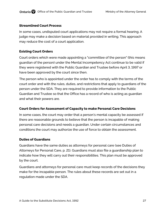#### <span id="page-27-0"></span>**Streamlined Court Process**

In some cases, undisputed court applications may not require a formal hearing. A judge may make a decision based on material provided in writing. This approach may reduce the cost of a court application.

## <span id="page-27-1"></span>**Existing Court Orders**

Court orders which were made appointing a "committee of the person" (this means guardian of the person) under the Mental Incompetency Act continue to be valid if they were registered with the Public Guardian and Trustee before April 3, 1997 or have been approved by the court since then.

The person who is appointed under the order has to comply with the terms of the court order and with the rules, duties, and restrictions that apply to guardians of the person under the SDA. They are required to provide information to the Public Guardian and Trustee so that the Office has a record of who is acting as guardian and what their powers are.

## <span id="page-27-2"></span>**Court Orders for Assessment of Capacity to make Personal Care Decisions**

In some cases, the court may order that a person's mental capacity be assessed if there are reasonable grounds to believe that the person is incapable of making personal care decisions and needs a guardian. Under certain circumstances and conditions the court may authorize the use of force to obtain the assessment.

## <span id="page-27-3"></span>**Duties of Guardians**

Guardians have the same duties as attorneys for personal care (see Duties of Attorneys for Personal Care, p. 21). Guardians must also file a guardianship plan to indicate how they will carry out their responsibilities. This plan must be approved by the court.

Guardians and attorneys for personal care must keep records of the decisions they make for the incapable person. The rules about these records are set out in a regulation made under the SDA.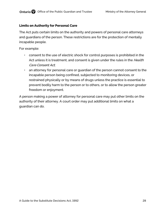#### <span id="page-28-0"></span>**Limits on Authority for Personal Care**

The Act puts certain limits on the authority and powers of personal care attorneys and guardians of the person. These restrictions are for the protection of mentally incapable people.

For example:

- consent to the use of electric shock for control purposes is prohibited in the Act unless it is treatment, and consent is given under the rules in the Health Care Consent Act;
- an attorney for personal care or guardian of the person cannot consent to the incapable person being confined, subjected to monitoring devices, or restrained physically or by means of drugs unless the practice is essential to prevent bodily harm to the person or to others, or to allow the person greater freedom or enjoyment.

A person making a power of attorney for personal care may put other limits on the authority of their attorney. A court order may put additional limits on what a guardian can do.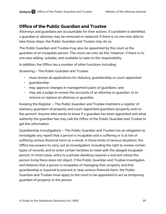# <span id="page-29-0"></span>**Office of the Public Guardian and Trustee**

Attorneys and guardians are accountable for their actions. If a problem is identified, a guardian or attorney may be removed or replaced. If there is no one else able to take these steps, the Public Guardian and Trustee may do so.

The Public Guardian and Trustee may also be appointed by the court as the guardian of an incapable person. The court can only do this, however, if there is no one else willing, suitable, and available to take on the responsibility.

In addition, the Office has a number of other functions including:

Screening – The Public Guardian and Trustee:

- must review all applications for statutory guardianship or court-appointed
- guardianship;
- may approve changes in management plans of guardians; and
- may ask a judge to review the accounts of an attorney or guardian, or to remove or replace an attorney or guardian.

Keeping the Register – The Public Guardian and Trustee maintains a register of statutory guardians of property and court-appointed guardians (property and/or the person). Anyone who wants to know if a guardian has been appointed and what authority the guardian has may call the Office of the Public Guardian and Trustee to get this information.

Guardianship Investigations – The Public Guardian and Trustee has an obligation to investigate any report that a person is incapable and is suffering or is at risk of suffering serious financial harm as a result. In these kinds of serious situations, the Office has powers to carry out an investigation, including the right to review certain types of records, and to enter certain facilities to meet with the alleged incapable person. In most cases, entry to a private dwelling requires a warrant unless the person living there does not object. If the Public Guardian and Trustee investigates and believes that a person is incapable of managing their property and that guardianship is required to prevent or stop serious financial harm, the Public Guardian and Trustee must apply to the court to be appointed to act as temporary guardian of property or the person.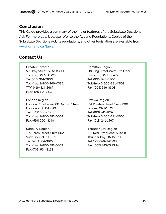# <span id="page-30-0"></span>**Conclusion**

This Guide provides a summary of the major features of the Substitute Decisions Act. For more detail, please refer to the Act and Regulations. Copies of the Substitute Decisions Act, its regulations, and other legislation are available from [www.ontario.ca/laws.](http://www.ontario.ca/laws)

# <span id="page-30-1"></span>**Contact Us**

Greater Toronto 595 Bay Street, Suite #800 Toronto, ON M5G 2M6 Tel: (416) 314-2800 Toll-free: 1-800-366-0335 TTY: (416) 314-2687 Fax: (416) 314-2619

London Region London Courthouse, 80 Dundas Street, London, ON N6A 6A3 Tel.: (519) 660-3140 Toll-free: 1-800-891-0504 Fax: (519) 660 -3148

Sudbury Region 199 Larch Street, Suite 602 Sudbury, ON P3E 5P9 Tel: (705) 564-3185 Toll-free: 1-800-891-0503 Fax: (705) 564-3193

Hamilton Region 119 King Street West, 9th Floor Hamilton, ON L8P 4Y7 Tel: (905) 546-8300 Toll-free: 1-800-891-0502 Fax: (905) 546-8301

Ottawa Region 351 Preston Street, Suite 200 Ottawa, ON K1S 2E6 Tel: (613) 241-1202 Toll-free: 1-800-891-0506 Fax: (613) 241-1567

Thunder Bay Region 189 Red River Road, Suite 101 Thunder Bay, ON P7B 1A2 Tel: 1-800-891-0503 Fax: (807) 343-7223 14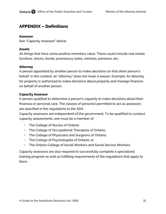# <span id="page-31-1"></span><span id="page-31-0"></span>**APPENDIX – Definitions**

#### **Assessor**

See "Capacity Assessor" below

#### <span id="page-31-2"></span>**Assets**

All things that have some positive monetary value. These could include real estate, furniture, stocks, bonds, promissory notes, vehicles, pensions, etc.

#### <span id="page-31-3"></span>**Attorney**

A person appointed by another person to make decisions on that other person's behalf. In this context, an "attorney" does not mean a lawyer. Example: An attorney for property is authorized to make decisions about property and manage finances on behalf of another person.

#### <span id="page-31-4"></span>**Capacity Assessor**

A person qualified to determine a person's capacity to make decisions about their finances or personal care. The classes of person(s) permitted to act as assessors are specified in the regulations to the SDA.

Capacity assessors are independent of the government. To be qualified to conduct capacity assessments, one must be a member of:

- The College of Nurses of Ontario;
- The College of Occupational Therapists of Ontario;
- The College of Physicians and Surgeons of Ontario;
- The College of Psychologists of Ontario; or
- The Ontario College of Social Workers and Social Service Workers.

Capacity assessors are also required to successfully complete a specialized training program as well as fulfilling requirements of the regulations that apply to them.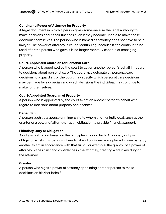#### <span id="page-32-0"></span>**Continuing Power of Attorney for Property**

A legal document in which a person gives someone else the legal authority to make decisions about their finances even if they become unable to make those decisions themselves. The person who is named as attorney does not have to be a lawyer. The power of attorney is called "continuing" because it can continue to be used after the person who gave it is no longer mentally capable of managing property.

#### <span id="page-32-1"></span>**Court-Appointed Guardian for Personal Care**

A person who is appointed by the court to act on another person's behalf in regard to decisions about personal care. The court may delegate all personal care decisions to a guardian, or the court may specify which personal care decisions may be made by a guardian and which decisions the individual may continue to make for themselves.

## <span id="page-32-2"></span>**Court-Appointed Guardian of Property**

A person who is appointed by the court to act on another person's behalf with regard to decisions about property and finances.

#### <span id="page-32-3"></span>**Dependant**

A person such as a spouse or minor child to whom another individual, such as the grantor of a power of attorney, has an obligation to provide financial support.

## <span id="page-32-4"></span>**Fiduciary Duty or Obligation**

A duty or obligation based on the principles of good faith. A fiduciary duty or obligation exists in situations where trust and confidence are placed in one party by another to act in accordance with that trust. For example, the grantor of a power of attorney places trust and confidence in the attorney, creating a fiduciary duty on the attorney.

## <span id="page-32-5"></span>**Grantor**

A person who signs a power of attorney appointing another person to make decisions on his/her behalf.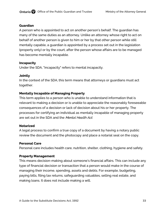#### <span id="page-33-0"></span>**Guardian**

A person who is appointed to act on another person's behalf. The guardian has many of the same duties as an attorney. Unlike an attorney whose right to act on behalf of another person is given to him or her by that other person while still mentally capable, a guardian is appointed by a process set out in the legislation (property only) or by the court, after the person whose affairs are to be managed has become mentally incapable.

#### <span id="page-33-1"></span>**Incapacity**

Under the SDA, "incapacity" refers to mental incapacity.

## <span id="page-33-2"></span>**Jointly**

In the context of the SDA, this term means that attorneys or guardians must act together.

## <span id="page-33-3"></span>**Mentally Incapable of Managing Property**

This term applies to a person who is unable to understand information that is relevant to making a decision or is unable to appreciate the reasonably foreseeable consequences of a decision or lack of decision about his or her property. The processes for certifying an individual as mentally incapable of managing property are set out in the SDA and the *Mental Health Act*.

## <span id="page-33-4"></span>**Notarized**

A legal process to confirm a true copy of a document by having a notary public review the document and the photocopy and place a notarial seal on the copy.

## <span id="page-33-5"></span>**Personal Care**

Personal care includes health care, nutrition, shelter, clothing, hygiene and safety.

## <span id="page-33-6"></span>**Property Management**

This means decision-making about someone's financial affairs. This can include any type of financial decision or transaction that a person would make in the course of managing their income, spending, assets and debts. For example, budgeting, paying bills, filing tax returns, safeguarding valuables, selling real estate, and making loans. It does not include making a will.